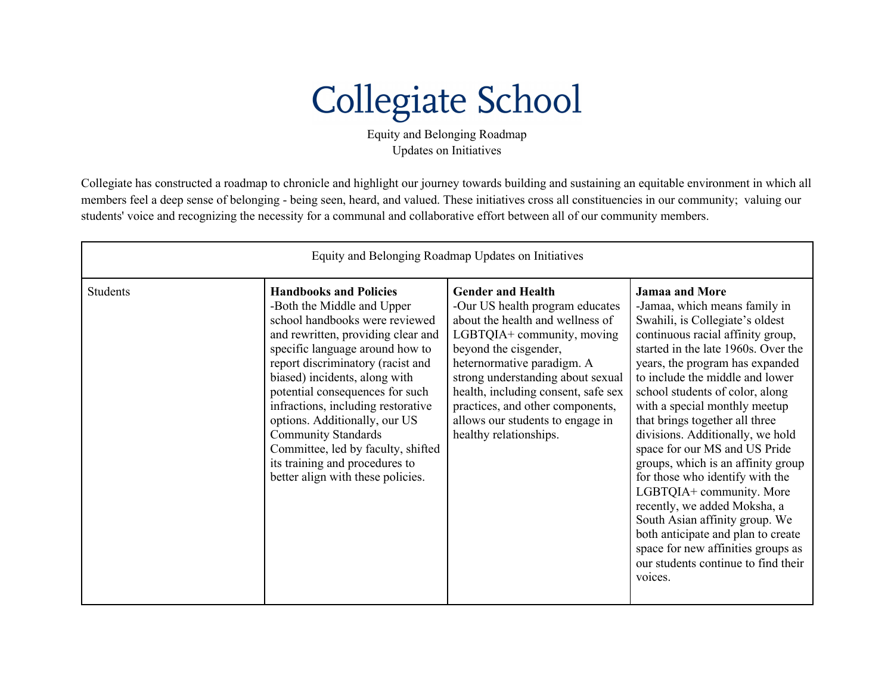## **Collegiate School**

Equity and Belonging Roadmap Updates on Initiatives

Collegiate has constructed a roadmap to chronicle and highlight our journey towards building and sustaining an equitable environment in which all members feel a deep sense of belonging - being seen, heard, and valued. These initiatives cross all constituencies in our community; valuing our students' voice and recognizing the necessity for a communal and collaborative effort between all of our community members.

| Equity and Belonging Roadmap Updates on Initiatives |                                                                                                                                                                                                                                                                                                                                                                                                                                                                                                   |                                                                                                                                                                                                                                                                                                                                                                    |                                                                                                                                                                                                                                                                                                                                                                                                                                                                                                                                                                                                                                                                                                                             |  |  |
|-----------------------------------------------------|---------------------------------------------------------------------------------------------------------------------------------------------------------------------------------------------------------------------------------------------------------------------------------------------------------------------------------------------------------------------------------------------------------------------------------------------------------------------------------------------------|--------------------------------------------------------------------------------------------------------------------------------------------------------------------------------------------------------------------------------------------------------------------------------------------------------------------------------------------------------------------|-----------------------------------------------------------------------------------------------------------------------------------------------------------------------------------------------------------------------------------------------------------------------------------------------------------------------------------------------------------------------------------------------------------------------------------------------------------------------------------------------------------------------------------------------------------------------------------------------------------------------------------------------------------------------------------------------------------------------------|--|--|
| <b>Students</b>                                     | <b>Handbooks and Policies</b><br>-Both the Middle and Upper<br>school handbooks were reviewed<br>and rewritten, providing clear and<br>specific language around how to<br>report discriminatory (racist and<br>biased) incidents, along with<br>potential consequences for such<br>infractions, including restorative<br>options. Additionally, our US<br><b>Community Standards</b><br>Committee, led by faculty, shifted<br>its training and procedures to<br>better align with these policies. | <b>Gender and Health</b><br>-Our US health program educates<br>about the health and wellness of<br>LGBTQIA+ community, moving<br>beyond the cisgender,<br>heternormative paradigm. A<br>strong understanding about sexual<br>health, including consent, safe sex<br>practices, and other components,<br>allows our students to engage in<br>healthy relationships. | <b>Jamaa and More</b><br>-Jamaa, which means family in<br>Swahili, is Collegiate's oldest<br>continuous racial affinity group,<br>started in the late 1960s. Over the<br>years, the program has expanded<br>to include the middle and lower<br>school students of color, along<br>with a special monthly meetup<br>that brings together all three<br>divisions. Additionally, we hold<br>space for our MS and US Pride<br>groups, which is an affinity group<br>for those who identify with the<br>LGBTQIA+ community. More<br>recently, we added Moksha, a<br>South Asian affinity group. We<br>both anticipate and plan to create<br>space for new affinities groups as<br>our students continue to find their<br>voices. |  |  |